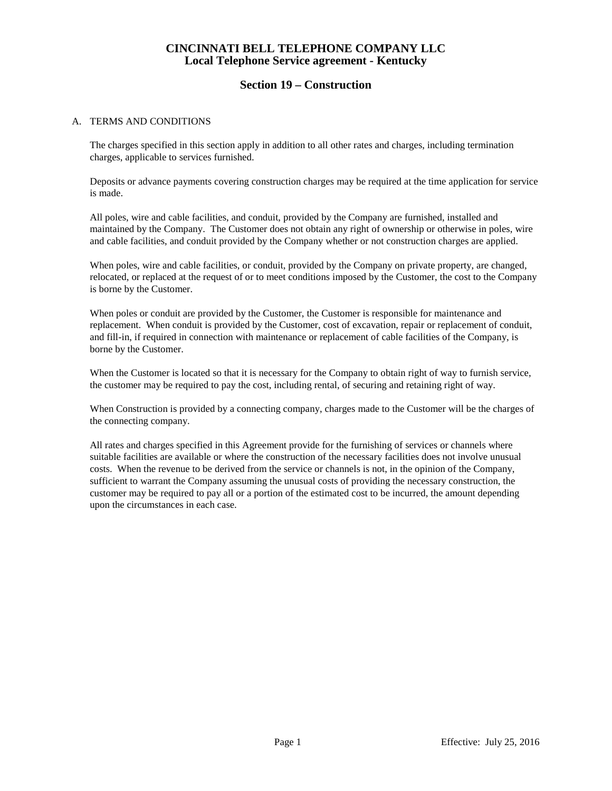### **Section 19 – Construction**

#### A. TERMS AND CONDITIONS

The charges specified in this section apply in addition to all other rates and charges, including termination charges, applicable to services furnished.

Deposits or advance payments covering construction charges may be required at the time application for service is made.

All poles, wire and cable facilities, and conduit, provided by the Company are furnished, installed and maintained by the Company. The Customer does not obtain any right of ownership or otherwise in poles, wire and cable facilities, and conduit provided by the Company whether or not construction charges are applied.

When poles, wire and cable facilities, or conduit, provided by the Company on private property, are changed, relocated, or replaced at the request of or to meet conditions imposed by the Customer, the cost to the Company is borne by the Customer.

When poles or conduit are provided by the Customer, the Customer is responsible for maintenance and replacement. When conduit is provided by the Customer, cost of excavation, repair or replacement of conduit, and fill-in, if required in connection with maintenance or replacement of cable facilities of the Company, is borne by the Customer.

When the Customer is located so that it is necessary for the Company to obtain right of way to furnish service, the customer may be required to pay the cost, including rental, of securing and retaining right of way.

When Construction is provided by a connecting company, charges made to the Customer will be the charges of the connecting company.

All rates and charges specified in this Agreement provide for the furnishing of services or channels where suitable facilities are available or where the construction of the necessary facilities does not involve unusual costs. When the revenue to be derived from the service or channels is not, in the opinion of the Company, sufficient to warrant the Company assuming the unusual costs of providing the necessary construction, the customer may be required to pay all or a portion of the estimated cost to be incurred, the amount depending upon the circumstances in each case.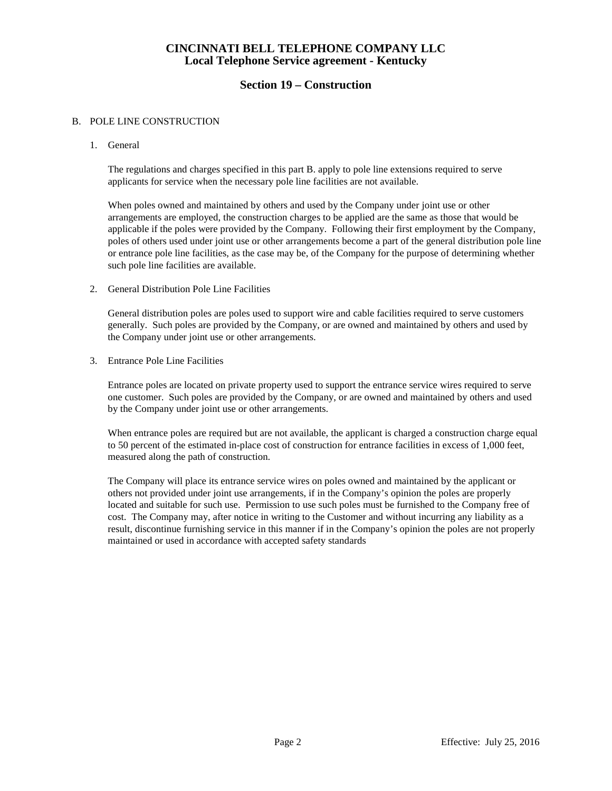### **Section 19 – Construction**

#### B. POLE LINE CONSTRUCTION

1. General

The regulations and charges specified in this part B. apply to pole line extensions required to serve applicants for service when the necessary pole line facilities are not available.

When poles owned and maintained by others and used by the Company under joint use or other arrangements are employed, the construction charges to be applied are the same as those that would be applicable if the poles were provided by the Company. Following their first employment by the Company, poles of others used under joint use or other arrangements become a part of the general distribution pole line or entrance pole line facilities, as the case may be, of the Company for the purpose of determining whether such pole line facilities are available.

2. General Distribution Pole Line Facilities

General distribution poles are poles used to support wire and cable facilities required to serve customers generally. Such poles are provided by the Company, or are owned and maintained by others and used by the Company under joint use or other arrangements.

3. Entrance Pole Line Facilities

Entrance poles are located on private property used to support the entrance service wires required to serve one customer. Such poles are provided by the Company, or are owned and maintained by others and used by the Company under joint use or other arrangements.

When entrance poles are required but are not available, the applicant is charged a construction charge equal to 50 percent of the estimated in-place cost of construction for entrance facilities in excess of 1,000 feet, measured along the path of construction.

The Company will place its entrance service wires on poles owned and maintained by the applicant or others not provided under joint use arrangements, if in the Company's opinion the poles are properly located and suitable for such use. Permission to use such poles must be furnished to the Company free of cost. The Company may, after notice in writing to the Customer and without incurring any liability as a result, discontinue furnishing service in this manner if in the Company's opinion the poles are not properly maintained or used in accordance with accepted safety standards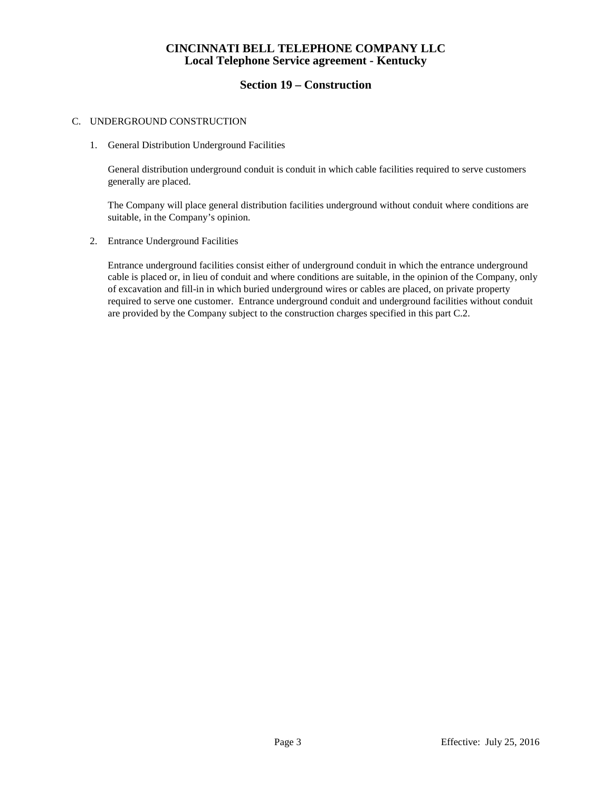### **Section 19 – Construction**

#### C. UNDERGROUND CONSTRUCTION

1. General Distribution Underground Facilities

General distribution underground conduit is conduit in which cable facilities required to serve customers generally are placed.

The Company will place general distribution facilities underground without conduit where conditions are suitable, in the Company's opinion.

2. Entrance Underground Facilities

Entrance underground facilities consist either of underground conduit in which the entrance underground cable is placed or, in lieu of conduit and where conditions are suitable, in the opinion of the Company, only of excavation and fill-in in which buried underground wires or cables are placed, on private property required to serve one customer. Entrance underground conduit and underground facilities without conduit are provided by the Company subject to the construction charges specified in this part C.2.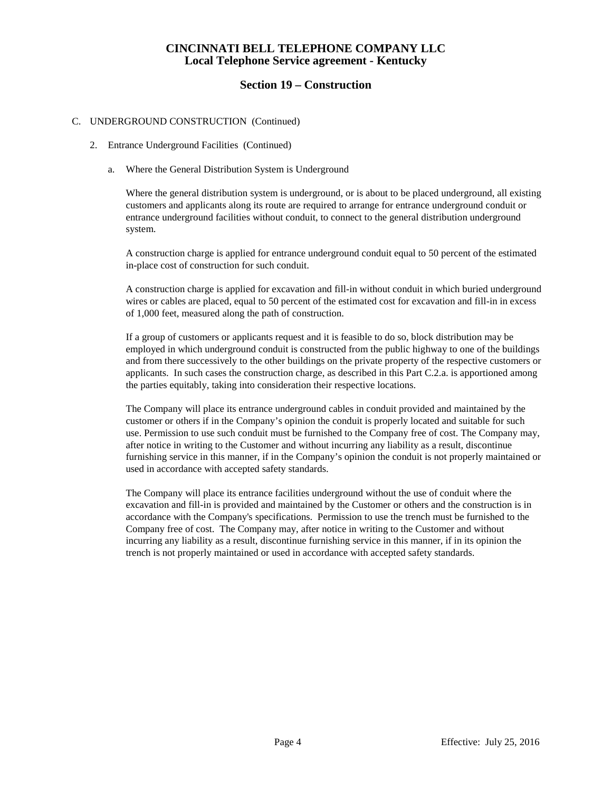### **Section 19 – Construction**

#### C. UNDERGROUND CONSTRUCTION (Continued)

- 2. Entrance Underground Facilities (Continued)
	- a. Where the General Distribution System is Underground

Where the general distribution system is underground, or is about to be placed underground, all existing customers and applicants along its route are required to arrange for entrance underground conduit or entrance underground facilities without conduit, to connect to the general distribution underground system.

A construction charge is applied for entrance underground conduit equal to 50 percent of the estimated in-place cost of construction for such conduit.

A construction charge is applied for excavation and fill-in without conduit in which buried underground wires or cables are placed, equal to 50 percent of the estimated cost for excavation and fill-in in excess of 1,000 feet, measured along the path of construction.

If a group of customers or applicants request and it is feasible to do so, block distribution may be employed in which underground conduit is constructed from the public highway to one of the buildings and from there successively to the other buildings on the private property of the respective customers or applicants. In such cases the construction charge, as described in this Part C.2.a. is apportioned among the parties equitably, taking into consideration their respective locations.

The Company will place its entrance underground cables in conduit provided and maintained by the customer or others if in the Company's opinion the conduit is properly located and suitable for such use. Permission to use such conduit must be furnished to the Company free of cost. The Company may, after notice in writing to the Customer and without incurring any liability as a result, discontinue furnishing service in this manner, if in the Company's opinion the conduit is not properly maintained or used in accordance with accepted safety standards.

The Company will place its entrance facilities underground without the use of conduit where the excavation and fill-in is provided and maintained by the Customer or others and the construction is in accordance with the Company's specifications. Permission to use the trench must be furnished to the Company free of cost. The Company may, after notice in writing to the Customer and without incurring any liability as a result, discontinue furnishing service in this manner, if in its opinion the trench is not properly maintained or used in accordance with accepted safety standards.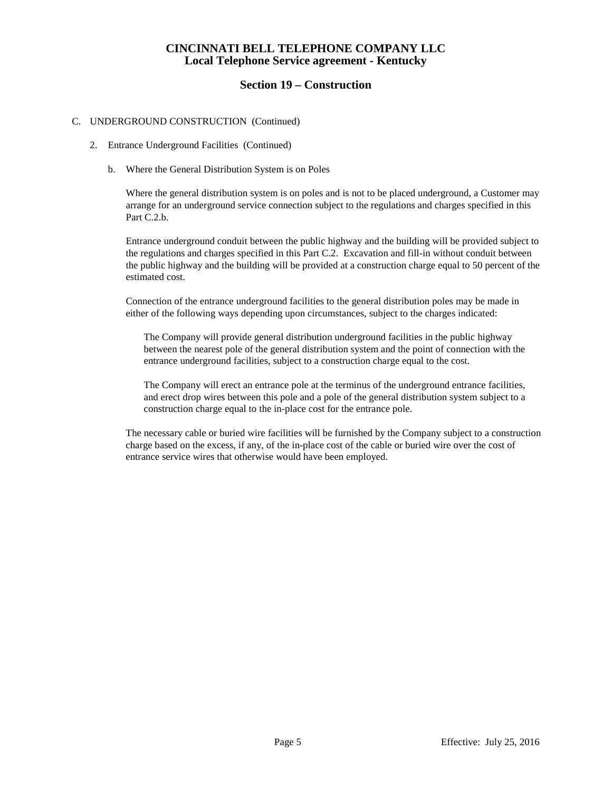### **Section 19 – Construction**

#### C. UNDERGROUND CONSTRUCTION (Continued)

- 2. Entrance Underground Facilities (Continued)
	- b. Where the General Distribution System is on Poles

Where the general distribution system is on poles and is not to be placed underground, a Customer may arrange for an underground service connection subject to the regulations and charges specified in this Part C.2.b.

Entrance underground conduit between the public highway and the building will be provided subject to the regulations and charges specified in this Part C.2. Excavation and fill-in without conduit between the public highway and the building will be provided at a construction charge equal to 50 percent of the estimated cost.

Connection of the entrance underground facilities to the general distribution poles may be made in either of the following ways depending upon circumstances, subject to the charges indicated:

The Company will provide general distribution underground facilities in the public highway between the nearest pole of the general distribution system and the point of connection with the entrance underground facilities, subject to a construction charge equal to the cost.

The Company will erect an entrance pole at the terminus of the underground entrance facilities, and erect drop wires between this pole and a pole of the general distribution system subject to a construction charge equal to the in-place cost for the entrance pole.

The necessary cable or buried wire facilities will be furnished by the Company subject to a construction charge based on the excess, if any, of the in-place cost of the cable or buried wire over the cost of entrance service wires that otherwise would have been employed.